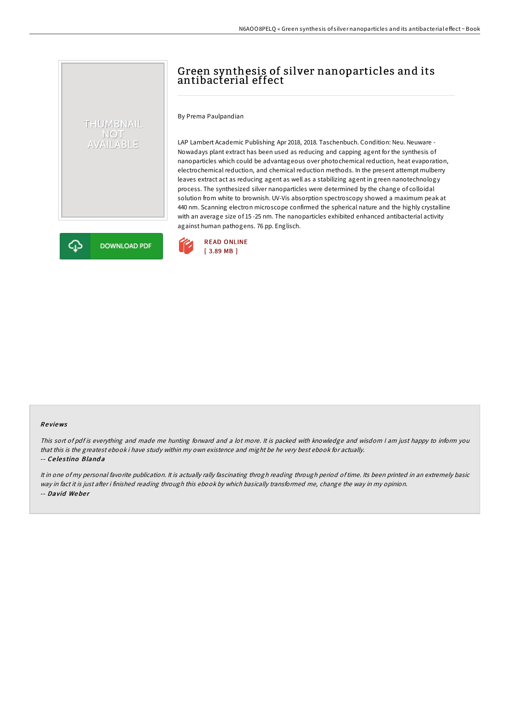# Green synthesis of silver nanoparticles and its antibacterial effect

By Prema Paulpandian

LAP Lambert Academic Publishing Apr 2018, 2018. Taschenbuch. Condition: Neu. Neuware - Nowadays plant extract has been used as reducing and capping agent for the synthesis of nanoparticles which could be advantageous over photochemical reduction, heat evaporation, electrochemical reduction, and chemical reduction methods. In the present attempt mulberry leaves extract act as reducing agent as well as a stabilizing agent in green nanotechnology process. The synthesized silver nanoparticles were determined by the change of colloidal solution from white to brownish. UV-Vis absorption spectroscopy showed a maximum peak at 440 nm. Scanning electron microscope confirmed the spherical nature and the highly crystalline with an average size of 15 -25 nm. The nanoparticles exhibited enhanced antibacterial activity against human pathogens. 76 pp. Englisch.



THUMBNAIL NOT<br>AVAILABLE



### Re views

This sort of pdf is everything and made me hunting forward and <sup>a</sup> lot more. It is packed with knowledge and wisdom <sup>I</sup> am just happy to inform you that this is the greatest ebook i have study within my own existence and might be he very best ebook for actually. -- Celestino Blanda

It in one of my personal favorite publication. It is actually rally fascinating throgh reading through period of time. Its been printed in an extremely basic way in fact it is just after i finished reading through this ebook by which basically transformed me, change the way in my opinion. -- David Weber